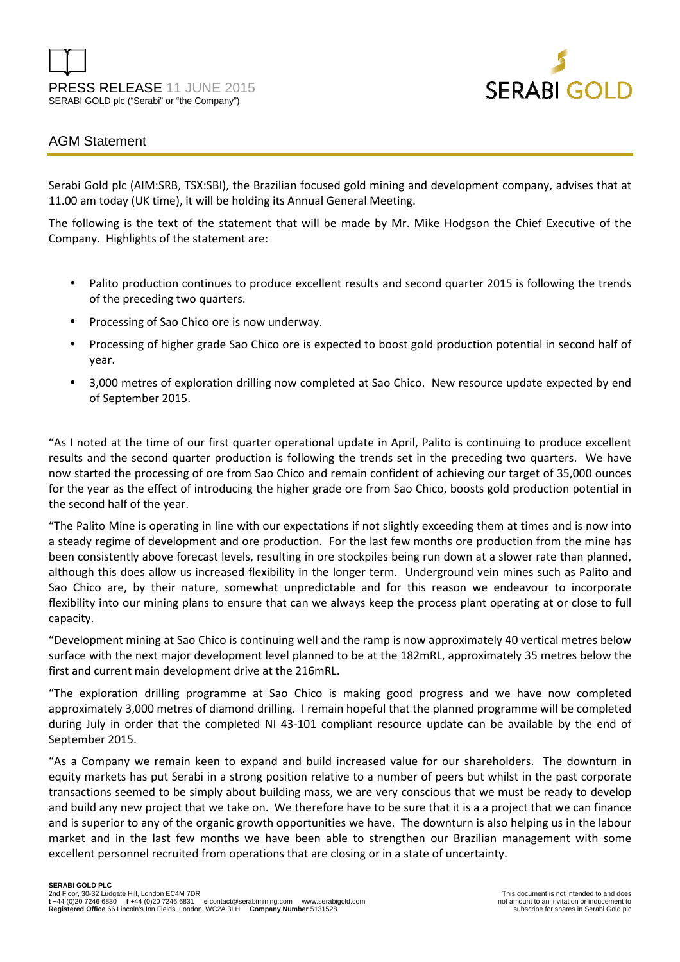



## AGM Statement

Serabi Gold plc (AIM:SRB, TSX:SBI), the Brazilian focused gold mining and development company, advises that at 11.00 am today (UK time), it will be holding its Annual General Meeting.

The following is the text of the statement that will be made by Mr. Mike Hodgson the Chief Executive of the Company. Highlights of the statement are:

- Palito production continues to produce excellent results and second quarter 2015 is following the trends of the preceding two quarters.
- Processing of Sao Chico ore is now underway.
- Processing of higher grade Sao Chico ore is expected to boost gold production potential in second half of year.
- 3,000 metres of exploration drilling now completed at Sao Chico. New resource update expected by end of September 2015.

"As I noted at the time of our first quarter operational update in April, Palito is continuing to produce excellent results and the second quarter production is following the trends set in the preceding two quarters. We have now started the processing of ore from Sao Chico and remain confident of achieving our target of 35,000 ounces for the year as the effect of introducing the higher grade ore from Sao Chico, boosts gold production potential in the second half of the year.

"The Palito Mine is operating in line with our expectations if not slightly exceeding them at times and is now into a steady regime of development and ore production. For the last few months ore production from the mine has been consistently above forecast levels, resulting in ore stockpiles being run down at a slower rate than planned, although this does allow us increased flexibility in the longer term. Underground vein mines such as Palito and Sao Chico are, by their nature, somewhat unpredictable and for this reason we endeavour to incorporate flexibility into our mining plans to ensure that can we always keep the process plant operating at or close to full capacity.

"Development mining at Sao Chico is continuing well and the ramp is now approximately 40 vertical metres below surface with the next major development level planned to be at the 182mRL, approximately 35 metres below the first and current main development drive at the 216mRL.

"The exploration drilling programme at Sao Chico is making good progress and we have now completed approximately 3,000 metres of diamond drilling. I remain hopeful that the planned programme will be completed during July in order that the completed NI 43-101 compliant resource update can be available by the end of September 2015.

"As a Company we remain keen to expand and build increased value for our shareholders. The downturn in equity markets has put Serabi in a strong position relative to a number of peers but whilst in the past corporate transactions seemed to be simply about building mass, we are very conscious that we must be ready to develop and build any new project that we take on. We therefore have to be sure that it is a a project that we can finance and is superior to any of the organic growth opportunities we have. The downturn is also helping us in the labour market and in the last few months we have been able to strengthen our Brazilian management with some excellent personnel recruited from operations that are closing or in a state of uncertainty.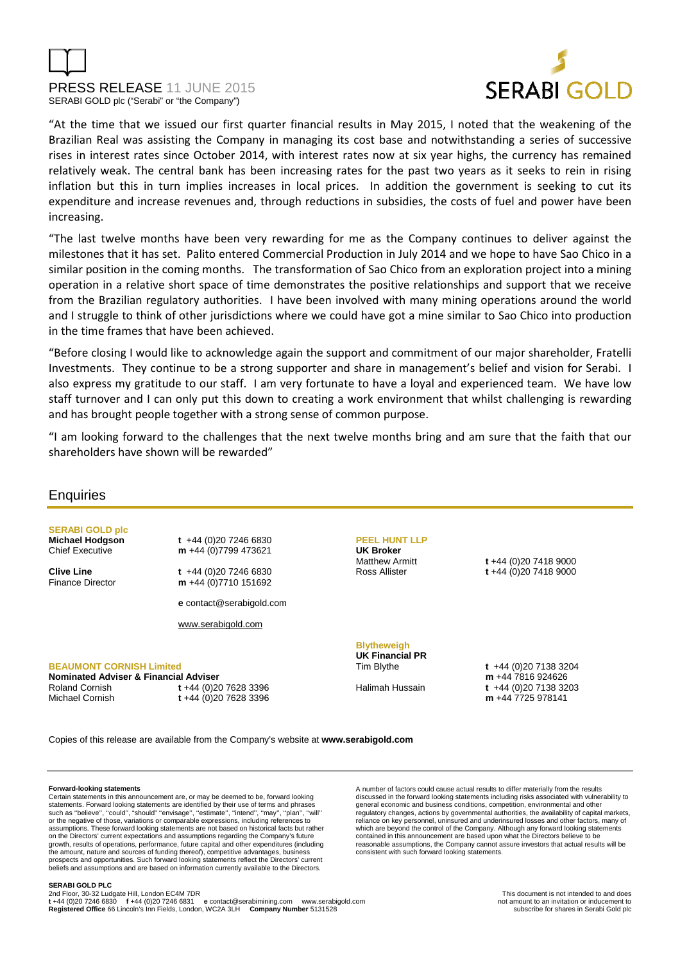



"At the time that we issued our first quarter financial results in May 2015, I noted that the weakening of the Brazilian Real was assisting the Company in managing its cost base and notwithstanding a series of successive rises in interest rates since October 2014, with interest rates now at six year highs, the currency has remained relatively weak. The central bank has been increasing rates for the past two years as it seeks to rein in rising inflation but this in turn implies increases in local prices. In addition the government is seeking to cut its expenditure and increase revenues and, through reductions in subsidies, the costs of fuel and power have been increasing.

"The last twelve months have been very rewarding for me as the Company continues to deliver against the milestones that it has set. Palito entered Commercial Production in July 2014 and we hope to have Sao Chico in a similar position in the coming months. The transformation of Sao Chico from an exploration project into a mining operation in a relative short space of time demonstrates the positive relationships and support that we receive from the Brazilian regulatory authorities. I have been involved with many mining operations around the world and I struggle to think of other jurisdictions where we could have got a mine similar to Sao Chico into production in the time frames that have been achieved.

"Before closing I would like to acknowledge again the support and commitment of our major shareholder, Fratelli Investments. They continue to be a strong supporter and share in management's belief and vision for Serabi. I also express my gratitude to our staff. I am very fortunate to have a loyal and experienced team. We have low staff turnover and I can only put this down to creating a work environment that whilst challenging is rewarding and has brought people together with a strong sense of common purpose.

"I am looking forward to the challenges that the next twelve months bring and am sure that the faith that our shareholders have shown will be rewarded"

## **Enquiries**

**SERABI GOLD plc Michael Hodgson t** +44 (0)20 7246 6830

Finance Director **m** +44 (0)7710 151692

Chief Executive **m** +44 (0)7799 473621 **Clive Line t** +44 (0)20 7246 6830

**e** contact@serabigold.com

www.serabigold.com

#### **BEAUMONT CORNISH Limited**

**Nominated Adviser & Financial Adviser** 

Roland Cornish **t** +44 (0)20 7628 3396 Michael Cornish **t** +44 (0)20 7628 3396

## **PEEL HUNT LLP**

**UK Broker**

Matthew Armitt **t** +44 (0)20 7418 9000 Ross Allister **t** +44 (0)20 7418 9000

## **Blytheweigh UK Financial PR**

Tim Blythe **t** +44 (0)20 7138 3204 **m** +44 7816 924626 Halimah Hussain **t** +44 (0)20 7138 3203 **m** +44 7725 978141

Copies of this release are available from the Company's website at **www.serabigold.com** 

#### **Forward-looking statements**

Certain statements in this announcement are, or may be deemed to be, forward looking statements. Forward looking statements are identified by their use of terms and phrase such as ''believe'', ''could'', "should" ''envisage'', ''estimate'', ''intend'', ''may'', ''plan'', ''will'' or the negative of those, variations or comparable expressions, including references to assumptions. These forward looking statements are not based on historical facts but rather<br>on the Directors' current expectations and assumptions regarding the Company's future<br>growth, results of operations, performance, f the amount, nature and sources of funding thereof), competitive advantages, business prospects and opportunities. Such forward looking statements reflect the Directors' current beliefs and assumptions and are based on information currently available to the Directors.

A number of factors could cause actual results to differ materially from the results discussed in the forward looking statements including risks associated with vulnerability to general economic and business conditions, competition, environmental and other regulatory changes, actions by governmental authorities, the availability of capital markets, reliance on key personnel, uninsured and underinsured losses and other factors, many of which are beyond the control of the Company. Although any forward looking statements contained in this announcement are based upon what the Directors believe to be reasonable assumptions, the Company cannot assure investors that actual results will be consistent with such forward looking statements.

#### **SERABI GOLD PLC**

2nd Floor, 30-32 Ludgate Hill, London EC4M 7DR<br>t +44 (0)20 7246 6830 f +44 (0)20 7246 6831 e contact@serabimining.com www.serabigold.com not amount to an invitation or inducement to **Registered Office** 6630 f +44 (0)20 7246 6831 **e** contact@serabimining.com www.serabigold.com in the contact of inducement to an invitation or inducement to the contact of the contact **e** contact @serabimining.com www.se